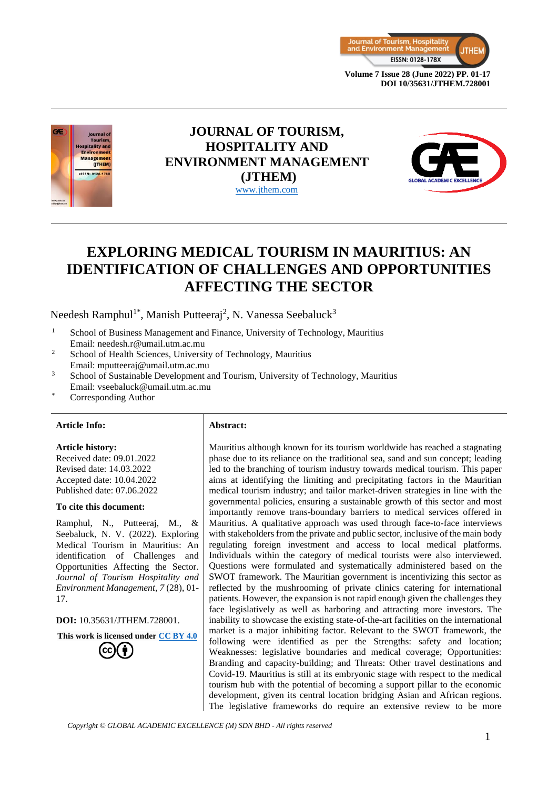



# **JOURNAL OF TOURISM, HOSPITALITY AND ENVIRONMENT MANAGEMENT (JTHEM)** [www.jthem.com](http://www.jthem.com/)



# **EXPLORING MEDICAL TOURISM IN MAURITIUS: AN IDENTIFICATION OF CHALLENGES AND OPPORTUNITIES AFFECTING THE SECTOR**

Needesh Ramphul<sup>1\*</sup>, Manish Putteeraj<sup>2</sup>, N. Vanessa Seebaluck<sup>3</sup>

- <sup>1</sup> School of Business Management and Finance, University of Technology, Mauritius Email: needesh.r@umail.utm.ac.mu
- <sup>2</sup> School of Health Sciences, University of Technology, Mauritius Email: mputteeraj@umail.utm.ac.mu
- <sup>3</sup> School of Sustainable Development and Tourism, University of Technology, Mauritius Email: vseebaluck@umail.utm.ac.mu
- Corresponding Author

#### **Article Info: Abstract:**

#### **Article history:**

Received date: 09.01.2022 Revised date: 14.03.2022 Accepted date: 10.04.2022 Published date: 07.06.2022

#### **To cite this document:**

Ramphul, N., Putteeraj, M., & Seebaluck, N. V. (2022). Exploring Medical Tourism in Mauritius: An identification of Challenges and Opportunities Affecting the Sector. *Journal of Tourism Hospitality and Environment Management, 7* (28), 01- 17.

**DOI:** 10.35631/JTHEM.728001.

**This work is licensed under [CC BY 4.0](https://creativecommons.org/licenses/by/4.0/?ref=chooser-v1)**

Mauritius although known for its tourism worldwide has reached a stagnating phase due to its reliance on the traditional sea, sand and sun concept; leading led to the branching of tourism industry towards medical tourism. This paper aims at identifying the limiting and precipitating factors in the Mauritian medical tourism industry; and tailor market-driven strategies in line with the governmental policies, ensuring a sustainable growth of this sector and most importantly remove trans-boundary barriers to medical services offered in Mauritius. A qualitative approach was used through face-to-face interviews with stakeholders from the private and public sector, inclusive of the main body regulating foreign investment and access to local medical platforms. Individuals within the category of medical tourists were also interviewed. Questions were formulated and systematically administered based on the SWOT framework. The Mauritian government is incentivizing this sector as reflected by the mushrooming of private clinics catering for international patients. However, the expansion is not rapid enough given the challenges they face legislatively as well as harboring and attracting more investors. The inability to showcase the existing state-of-the-art facilities on the international market is a major inhibiting factor. Relevant to the SWOT framework, the following were identified as per the Strengths: safety and location; Weaknesses: legislative boundaries and medical coverage; Opportunities: Branding and capacity-building; and Threats: Other travel destinations and Covid-19. Mauritius is still at its embryonic stage with respect to the medical tourism hub with the potential of becoming a support pillar to the economic development, given its central location bridging Asian and African regions. The legislative frameworks do require an extensive review to be more

*Copyright © GLOBAL ACADEMIC EXCELLENCE (M) SDN BHD - All rights reserved*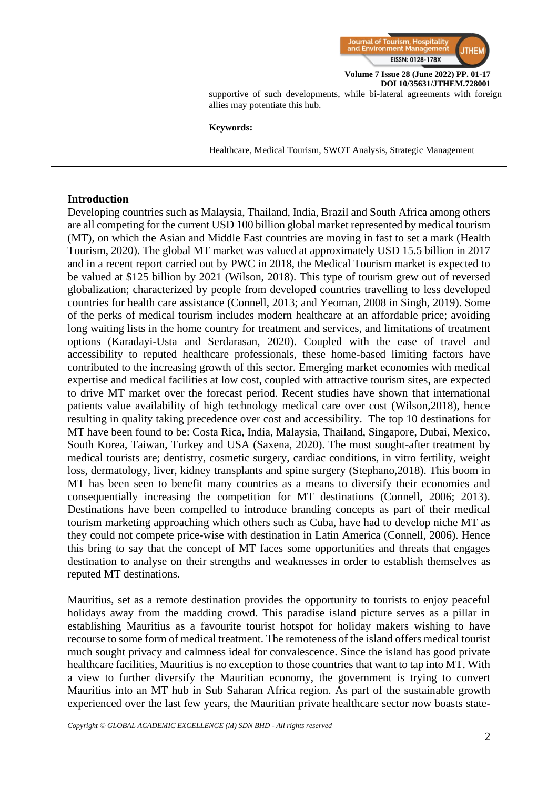

supportive of such developments, while bi-lateral agreements with foreign allies may potentiate this hub.

#### **Keywords:**

Healthcare, Medical Tourism, SWOT Analysis, Strategic Management

#### **Introduction**

Developing countries such as Malaysia, Thailand, India, Brazil and South Africa among others are all competing for the current USD 100 billion global market represented by medical tourism (MT), on which the Asian and Middle East countries are moving in fast to set a mark (Health Tourism, 2020). The global MT market was valued at approximately USD 15.5 billion in 2017 and in a recent report carried out by PWC in 2018, the Medical Tourism market is expected to be valued at \$125 billion by 2021 (Wilson, 2018). This type of tourism grew out of reversed globalization; characterized by people from developed countries travelling to less developed countries for health care assistance (Connell, 2013; and Yeoman, 2008 in Singh, 2019). Some of the perks of medical tourism includes modern healthcare at an affordable price; avoiding long waiting lists in the home country for treatment and services, and limitations of treatment options (Karadayi-Usta and Serdarasan, 2020). Coupled with the ease of travel and accessibility to reputed healthcare professionals, these home-based limiting factors have contributed to the increasing growth of this sector. Emerging market economies with medical expertise and medical facilities at low cost, coupled with attractive tourism sites, are expected to drive MT market over the forecast period. Recent studies have shown that international patients value availability of high technology medical care over cost (Wilson,2018), hence resulting in quality taking precedence over cost and accessibility. The top 10 destinations for MT have been found to be: Costa Rica, India, Malaysia, Thailand, Singapore, Dubai, Mexico, South Korea, Taiwan, Turkey and USA (Saxena, 2020). The most sought-after treatment by medical tourists are; dentistry, cosmetic surgery, cardiac conditions, in vitro fertility, weight loss, dermatology, liver, kidney transplants and spine surgery (Stephano,2018). This boom in MT has been seen to benefit many countries as a means to diversify their economies and consequentially increasing the competition for MT destinations (Connell, 2006; 2013). Destinations have been compelled to introduce branding concepts as part of their medical tourism marketing approaching which others such as Cuba, have had to develop niche MT as they could not compete price-wise with destination in Latin America (Connell, 2006). Hence this bring to say that the concept of MT faces some opportunities and threats that engages destination to analyse on their strengths and weaknesses in order to establish themselves as reputed MT destinations.

Mauritius, set as a remote destination provides the opportunity to tourists to enjoy peaceful holidays away from the madding crowd. This paradise island picture serves as a pillar in establishing Mauritius as a favourite tourist hotspot for holiday makers wishing to have recourse to some form of medical treatment. The remoteness of the island offers medical tourist much sought privacy and calmness ideal for convalescence. Since the island has good private healthcare facilities, Mauritius is no exception to those countries that want to tap into MT. With a view to further diversify the Mauritian economy, the government is trying to convert Mauritius into an MT hub in Sub Saharan Africa region. As part of the sustainable growth experienced over the last few years, the Mauritian private healthcare sector now boasts state-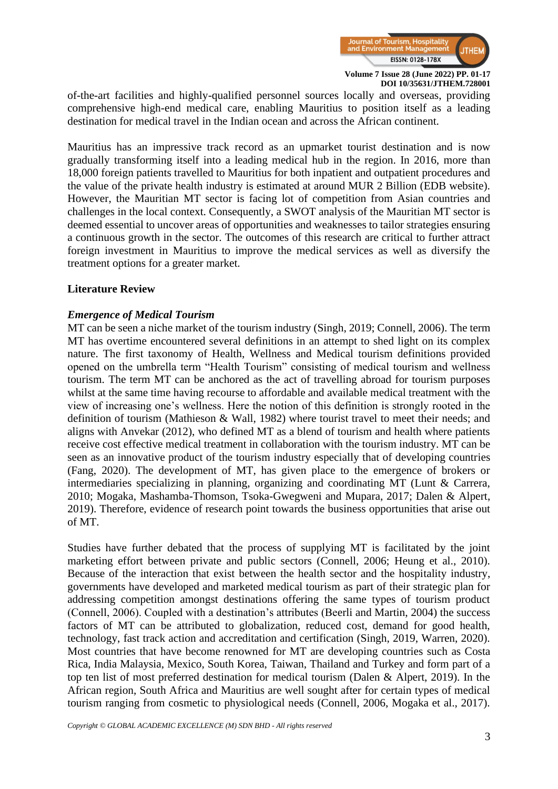

of-the-art facilities and highly-qualified personnel sources locally and overseas, providing comprehensive high-end medical care, enabling Mauritius to position itself as a leading destination for medical travel in the Indian ocean and across the African continent.

Mauritius has an impressive track record as an upmarket tourist destination and is now gradually transforming itself into a leading medical hub in the region. In 2016, more than 18,000 foreign patients travelled to Mauritius for both inpatient and outpatient procedures and the value of the private health industry is estimated at around MUR 2 Billion (EDB website). However, the Mauritian MT sector is facing lot of competition from Asian countries and challenges in the local context. Consequently, a SWOT analysis of the Mauritian MT sector is deemed essential to uncover areas of opportunities and weaknesses to tailor strategies ensuring a continuous growth in the sector. The outcomes of this research are critical to further attract foreign investment in Mauritius to improve the medical services as well as diversify the treatment options for a greater market.

#### **Literature Review**

# *Emergence of Medical Tourism*

MT can be seen a niche market of the tourism industry (Singh, 2019; Connell, 2006). The term MT has overtime encountered several definitions in an attempt to shed light on its complex nature. The first taxonomy of Health, Wellness and Medical tourism definitions provided opened on the umbrella term "Health Tourism" consisting of medical tourism and wellness tourism. The term MT can be anchored as the act of travelling abroad for tourism purposes whilst at the same time having recourse to affordable and available medical treatment with the view of increasing one's wellness. Here the notion of this definition is strongly rooted in the definition of tourism (Mathieson & Wall, 1982) where tourist travel to meet their needs; and aligns with Anvekar (2012), who defined MT as a blend of tourism and health where patients receive cost effective medical treatment in collaboration with the tourism industry. MT can be seen as an innovative product of the tourism industry especially that of developing countries (Fang, 2020). The development of MT, has given place to the emergence of brokers or intermediaries specializing in planning, organizing and coordinating MT (Lunt & Carrera, 2010; Mogaka, Mashamba-Thomson, Tsoka-Gwegweni and Mupara, 2017; Dalen & Alpert, 2019). Therefore, evidence of research point towards the business opportunities that arise out of MT.

Studies have further debated that the process of supplying MT is facilitated by the joint marketing effort between private and public sectors (Connell, 2006; Heung et al., 2010). Because of the interaction that exist between the health sector and the hospitality industry, governments have developed and marketed medical tourism as part of their strategic plan for addressing competition amongst destinations offering the same types of tourism product (Connell, 2006). Coupled with a destination's attributes (Beerli and Martin, 2004) the success factors of MT can be attributed to globalization, reduced cost, demand for good health, technology, fast track action and accreditation and certification (Singh, 2019, Warren, 2020). Most countries that have become renowned for MT are developing countries such as Costa Rica, India Malaysia, Mexico, South Korea, Taiwan, Thailand and Turkey and form part of a top ten list of most preferred destination for medical tourism (Dalen & Alpert, 2019). In the African region, South Africa and Mauritius are well sought after for certain types of medical tourism ranging from cosmetic to physiological needs (Connell, 2006, Mogaka et al., 2017).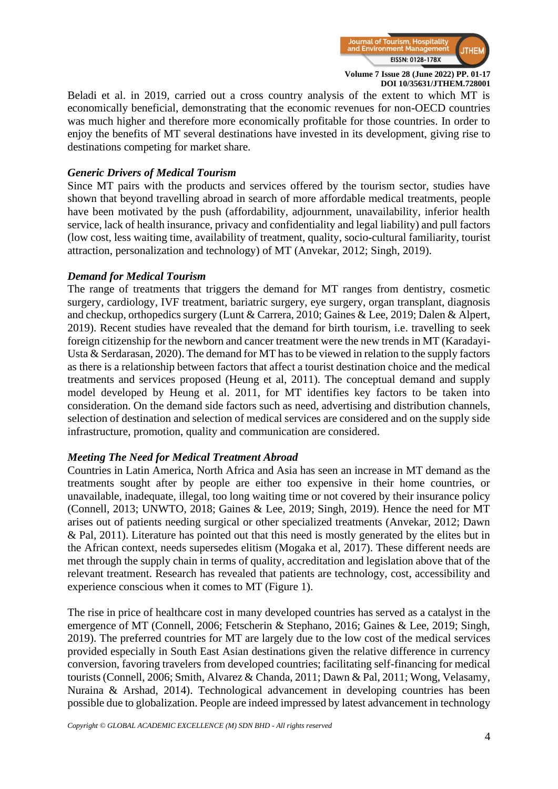

Beladi et al. in 2019, carried out a cross country analysis of the extent to which MT is economically beneficial, demonstrating that the economic revenues for non-OECD countries was much higher and therefore more economically profitable for those countries. In order to enjoy the benefits of MT several destinations have invested in its development, giving rise to destinations competing for market share.

# *Generic Drivers of Medical Tourism*

Since MT pairs with the products and services offered by the tourism sector, studies have shown that beyond travelling abroad in search of more affordable medical treatments, people have been motivated by the push (affordability, adjournment, unavailability, inferior health service, lack of health insurance, privacy and confidentiality and legal liability) and pull factors (low cost, less waiting time, availability of treatment, quality, socio-cultural familiarity, tourist attraction, personalization and technology) of MT (Anvekar, 2012; Singh, 2019).

# *Demand for Medical Tourism*

The range of treatments that triggers the demand for MT ranges from dentistry, cosmetic surgery, cardiology, IVF treatment, bariatric surgery, eye surgery, organ transplant, diagnosis and checkup, orthopedics surgery (Lunt & Carrera, 2010; Gaines & Lee, 2019; Dalen & Alpert, 2019). Recent studies have revealed that the demand for birth tourism, i.e. travelling to seek foreign citizenship for the newborn and cancer treatment were the new trends in MT (Karadayi-Usta & Serdarasan, 2020). The demand for MT has to be viewed in relation to the supply factors as there is a relationship between factors that affect a tourist destination choice and the medical treatments and services proposed (Heung et al, 2011). The conceptual demand and supply model developed by Heung et al. 2011, for MT identifies key factors to be taken into consideration. On the demand side factors such as need, advertising and distribution channels, selection of destination and selection of medical services are considered and on the supply side infrastructure, promotion, quality and communication are considered.

#### *Meeting The Need for Medical Treatment Abroad*

Countries in Latin America, North Africa and Asia has seen an increase in MT demand as the treatments sought after by people are either too expensive in their home countries, or unavailable, inadequate, illegal, too long waiting time or not covered by their insurance policy (Connell, 2013; UNWTO, 2018; Gaines & Lee, 2019; Singh, 2019). Hence the need for MT arises out of patients needing surgical or other specialized treatments (Anvekar, 2012; Dawn & Pal, 2011). Literature has pointed out that this need is mostly generated by the elites but in the African context, needs supersedes elitism (Mogaka et al, 2017). These different needs are met through the supply chain in terms of quality, accreditation and legislation above that of the relevant treatment. Research has revealed that patients are technology, cost, accessibility and experience conscious when it comes to MT (Figure 1).

The rise in price of healthcare cost in many developed countries has served as a catalyst in the emergence of MT (Connell, 2006; Fetscherin & Stephano, 2016; Gaines & Lee, 2019; Singh, 2019). The preferred countries for MT are largely due to the low cost of the medical services provided especially in South East Asian destinations given the relative difference in currency conversion, favoring travelers from developed countries; facilitating self-financing for medical tourists (Connell, 2006; Smith, Alvarez & Chanda, 2011; Dawn & Pal, 2011; Wong, Velasamy, Nuraina & Arshad, 2014). Technological advancement in developing countries has been possible due to globalization. People are indeed impressed by latest advancement in technology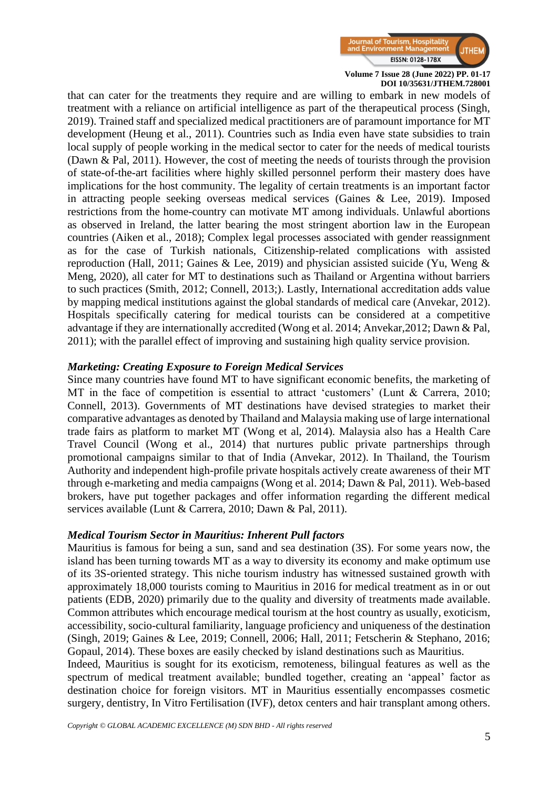

that can cater for the treatments they require and are willing to embark in new models of treatment with a reliance on artificial intelligence as part of the therapeutical process (Singh, 2019). Trained staff and specialized medical practitioners are of paramount importance for MT development (Heung et al., 2011). Countries such as India even have state subsidies to train local supply of people working in the medical sector to cater for the needs of medical tourists (Dawn & Pal, 2011). However, the cost of meeting the needs of tourists through the provision of state-of-the-art facilities where highly skilled personnel perform their mastery does have implications for the host community. The legality of certain treatments is an important factor in attracting people seeking overseas medical services (Gaines & Lee, 2019). Imposed restrictions from the home-country can motivate MT among individuals. Unlawful abortions as observed in Ireland, the latter bearing the most stringent abortion law in the European countries (Aiken et al., 2018); Complex legal processes associated with gender reassignment as for the case of Turkish nationals, Citizenship-related complications with assisted reproduction (Hall, 2011; Gaines & Lee, 2019) and physician assisted suicide (Yu, Weng  $\&$ Meng, 2020), all cater for MT to destinations such as Thailand or Argentina without barriers to such practices (Smith, 2012; Connell, 2013;). Lastly, International accreditation adds value by mapping medical institutions against the global standards of medical care (Anvekar, 2012). Hospitals specifically catering for medical tourists can be considered at a competitive advantage if they are internationally accredited (Wong et al. 2014; Anvekar,2012; Dawn & Pal, 2011); with the parallel effect of improving and sustaining high quality service provision.

#### *Marketing: Creating Exposure to Foreign Medical Services*

Since many countries have found MT to have significant economic benefits, the marketing of MT in the face of competition is essential to attract 'customers' (Lunt & Carrera, 2010; Connell, 2013). Governments of MT destinations have devised strategies to market their comparative advantages as denoted by Thailand and Malaysia making use of large international trade fairs as platform to market MT (Wong et al, 2014). Malaysia also has a Health Care Travel Council (Wong et al., 2014) that nurtures public private partnerships through promotional campaigns similar to that of India (Anvekar, 2012). In Thailand, the Tourism Authority and independent high-profile private hospitals actively create awareness of their MT through e-marketing and media campaigns (Wong et al. 2014; Dawn & Pal, 2011). Web-based brokers, have put together packages and offer information regarding the different medical services available (Lunt & Carrera, 2010; Dawn & Pal, 2011).

#### *Medical Tourism Sector in Mauritius: Inherent Pull factors*

Mauritius is famous for being a sun, sand and sea destination (3S). For some years now, the island has been turning towards MT as a way to diversity its economy and make optimum use of its 3S-oriented strategy. This niche tourism industry has witnessed sustained growth with approximately 18,000 tourists coming to Mauritius in 2016 for medical treatment as in or out patients (EDB, 2020) primarily due to the quality and diversity of treatments made available. Common attributes which encourage medical tourism at the host country as usually, exoticism, accessibility, socio-cultural familiarity, language proficiency and uniqueness of the destination (Singh, 2019; Gaines & Lee, 2019; Connell, 2006; Hall, 2011; Fetscherin & Stephano, 2016; Gopaul, 2014). These boxes are easily checked by island destinations such as Mauritius.

Indeed, Mauritius is sought for its exoticism, remoteness, bilingual features as well as the spectrum of medical treatment available; bundled together, creating an 'appeal' factor as destination choice for foreign visitors. MT in Mauritius essentially encompasses cosmetic surgery, dentistry, In Vitro Fertilisation (IVF), detox centers and hair transplant among others.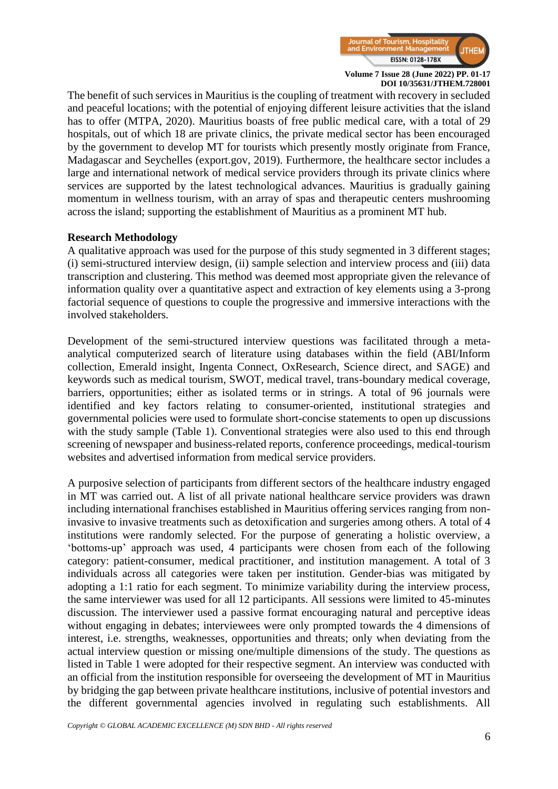

The benefit of such services in Mauritius is the coupling of treatment with recovery in secluded and peaceful locations; with the potential of enjoying different leisure activities that the island has to offer (MTPA, 2020). Mauritius boasts of free public medical care, with a total of 29 hospitals, out of which 18 are private clinics, the private medical sector has been encouraged by the government to develop MT for tourists which presently mostly originate from France, Madagascar and Seychelles (export.gov, 2019). Furthermore, the healthcare sector includes a large and international network of medical service providers through its private clinics where services are supported by the latest technological advances. Mauritius is gradually gaining momentum in wellness tourism, with an array of spas and therapeutic centers mushrooming across the island; supporting the establishment of Mauritius as a prominent MT hub.

#### **Research Methodology**

A qualitative approach was used for the purpose of this study segmented in 3 different stages; (i) semi-structured interview design, (ii) sample selection and interview process and (iii) data transcription and clustering. This method was deemed most appropriate given the relevance of information quality over a quantitative aspect and extraction of key elements using a 3-prong factorial sequence of questions to couple the progressive and immersive interactions with the involved stakeholders.

Development of the semi-structured interview questions was facilitated through a metaanalytical computerized search of literature using databases within the field (ABI/Inform collection, Emerald insight, Ingenta Connect, OxResearch, Science direct, and SAGE) and keywords such as medical tourism, SWOT, medical travel, trans-boundary medical coverage, barriers, opportunities; either as isolated terms or in strings. A total of 96 journals were identified and key factors relating to consumer-oriented, institutional strategies and governmental policies were used to formulate short-concise statements to open up discussions with the study sample (Table 1). Conventional strategies were also used to this end through screening of newspaper and business-related reports, conference proceedings, medical-tourism websites and advertised information from medical service providers.

A purposive selection of participants from different sectors of the healthcare industry engaged in MT was carried out. A list of all private national healthcare service providers was drawn including international franchises established in Mauritius offering services ranging from noninvasive to invasive treatments such as detoxification and surgeries among others. A total of 4 institutions were randomly selected. For the purpose of generating a holistic overview, a 'bottoms-up' approach was used, 4 participants were chosen from each of the following category: patient-consumer, medical practitioner, and institution management. A total of 3 individuals across all categories were taken per institution. Gender-bias was mitigated by adopting a 1:1 ratio for each segment. To minimize variability during the interview process, the same interviewer was used for all 12 participants. All sessions were limited to 45-minutes discussion. The interviewer used a passive format encouraging natural and perceptive ideas without engaging in debates; interviewees were only prompted towards the 4 dimensions of interest, i.e. strengths, weaknesses, opportunities and threats; only when deviating from the actual interview question or missing one/multiple dimensions of the study. The questions as listed in Table 1 were adopted for their respective segment. An interview was conducted with an official from the institution responsible for overseeing the development of MT in Mauritius by bridging the gap between private healthcare institutions, inclusive of potential investors and the different governmental agencies involved in regulating such establishments. All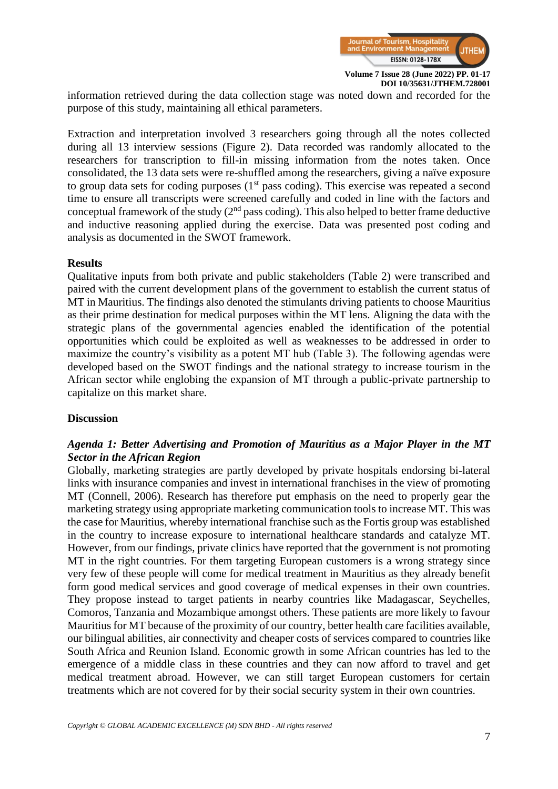

information retrieved during the data collection stage was noted down and recorded for the purpose of this study, maintaining all ethical parameters.

Extraction and interpretation involved 3 researchers going through all the notes collected during all 13 interview sessions (Figure 2). Data recorded was randomly allocated to the researchers for transcription to fill-in missing information from the notes taken. Once consolidated, the 13 data sets were re-shuffled among the researchers, giving a naïve exposure to group data sets for coding purposes  $(1<sup>st</sup>$  pass coding). This exercise was repeated a second time to ensure all transcripts were screened carefully and coded in line with the factors and conceptual framework of the study  $(2<sup>nd</sup>$  pass coding). This also helped to better frame deductive and inductive reasoning applied during the exercise. Data was presented post coding and analysis as documented in the SWOT framework.

#### **Results**

Qualitative inputs from both private and public stakeholders (Table 2) were transcribed and paired with the current development plans of the government to establish the current status of MT in Mauritius. The findings also denoted the stimulants driving patients to choose Mauritius as their prime destination for medical purposes within the MT lens. Aligning the data with the strategic plans of the governmental agencies enabled the identification of the potential opportunities which could be exploited as well as weaknesses to be addressed in order to maximize the country's visibility as a potent MT hub (Table 3). The following agendas were developed based on the SWOT findings and the national strategy to increase tourism in the African sector while englobing the expansion of MT through a public-private partnership to capitalize on this market share.

#### **Discussion**

# *Agenda 1: Better Advertising and Promotion of Mauritius as a Major Player in the MT Sector in the African Region*

Globally, marketing strategies are partly developed by private hospitals endorsing bi-lateral links with insurance companies and invest in international franchises in the view of promoting MT (Connell, 2006). Research has therefore put emphasis on the need to properly gear the marketing strategy using appropriate marketing communication tools to increase MT. This was the case for Mauritius, whereby international franchise such as the Fortis group was established in the country to increase exposure to international healthcare standards and catalyze MT. However, from our findings, private clinics have reported that the government is not promoting MT in the right countries. For them targeting European customers is a wrong strategy since very few of these people will come for medical treatment in Mauritius as they already benefit form good medical services and good coverage of medical expenses in their own countries. They propose instead to target patients in nearby countries like Madagascar, Seychelles, Comoros, Tanzania and Mozambique amongst others. These patients are more likely to favour Mauritius for MT because of the proximity of our country, better health care facilities available, our bilingual abilities, air connectivity and cheaper costs of services compared to countries like South Africa and Reunion Island. Economic growth in some African countries has led to the emergence of a middle class in these countries and they can now afford to travel and get medical treatment abroad. However, we can still target European customers for certain treatments which are not covered for by their social security system in their own countries.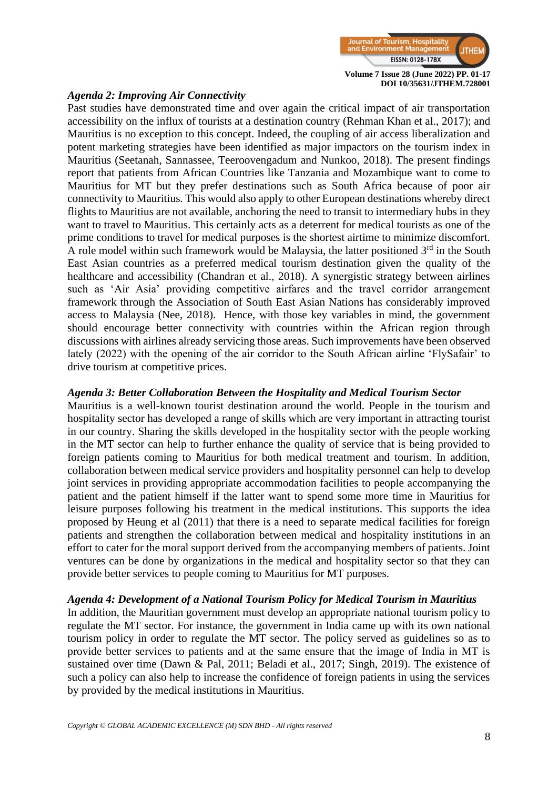

#### *Agenda 2: Improving Air Connectivity*

Past studies have demonstrated time and over again the critical impact of air transportation accessibility on the influx of tourists at a destination country (Rehman Khan et al., 2017); and Mauritius is no exception to this concept. Indeed, the coupling of air access liberalization and potent marketing strategies have been identified as major impactors on the tourism index in Mauritius (Seetanah, Sannassee, Teeroovengadum and Nunkoo, 2018). The present findings report that patients from African Countries like Tanzania and Mozambique want to come to Mauritius for MT but they prefer destinations such as South Africa because of poor air connectivity to Mauritius. This would also apply to other European destinations whereby direct flights to Mauritius are not available, anchoring the need to transit to intermediary hubs in they want to travel to Mauritius. This certainly acts as a deterrent for medical tourists as one of the prime conditions to travel for medical purposes is the shortest airtime to minimize discomfort. A role model within such framework would be Malaysia, the latter positioned  $3<sup>rd</sup>$  in the South East Asian countries as a preferred medical tourism destination given the quality of the healthcare and accessibility (Chandran et al., 2018). A synergistic strategy between airlines such as 'Air Asia' providing competitive airfares and the travel corridor arrangement framework through the Association of South East Asian Nations has considerably improved access to Malaysia (Nee, 2018). Hence, with those key variables in mind, the government should encourage better connectivity with countries within the African region through discussions with airlines already servicing those areas. Such improvements have been observed lately (2022) with the opening of the air corridor to the South African airline 'FlySafair' to drive tourism at competitive prices.

#### *Agenda 3: Better Collaboration Between the Hospitality and Medical Tourism Sector*

Mauritius is a well-known tourist destination around the world. People in the tourism and hospitality sector has developed a range of skills which are very important in attracting tourist in our country. Sharing the skills developed in the hospitality sector with the people working in the MT sector can help to further enhance the quality of service that is being provided to foreign patients coming to Mauritius for both medical treatment and tourism. In addition, collaboration between medical service providers and hospitality personnel can help to develop joint services in providing appropriate accommodation facilities to people accompanying the patient and the patient himself if the latter want to spend some more time in Mauritius for leisure purposes following his treatment in the medical institutions. This supports the idea proposed by Heung et al (2011) that there is a need to separate medical facilities for foreign patients and strengthen the collaboration between medical and hospitality institutions in an effort to cater for the moral support derived from the accompanying members of patients. Joint ventures can be done by organizations in the medical and hospitality sector so that they can provide better services to people coming to Mauritius for MT purposes.

#### *Agenda 4: Development of a National Tourism Policy for Medical Tourism in Mauritius*

In addition, the Mauritian government must develop an appropriate national tourism policy to regulate the MT sector. For instance, the government in India came up with its own national tourism policy in order to regulate the MT sector. The policy served as guidelines so as to provide better services to patients and at the same ensure that the image of India in MT is sustained over time (Dawn & Pal, 2011; Beladi et al., 2017; Singh, 2019). The existence of such a policy can also help to increase the confidence of foreign patients in using the services by provided by the medical institutions in Mauritius.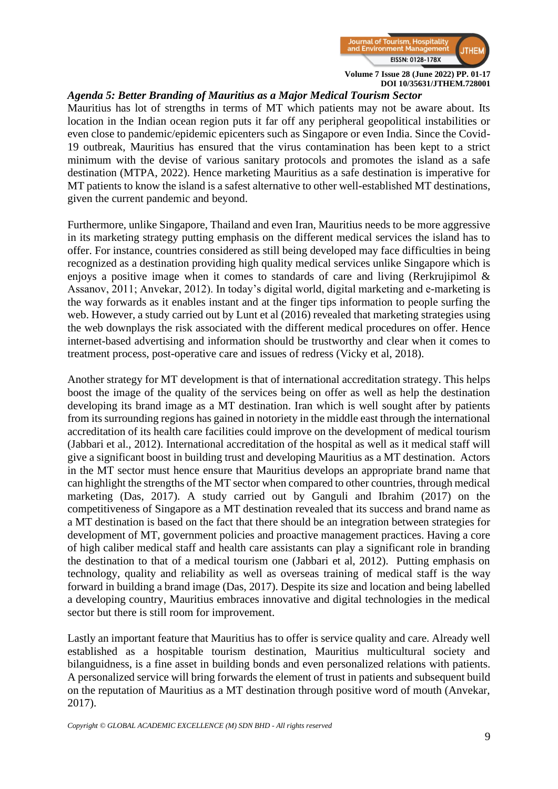

# *Agenda 5: Better Branding of Mauritius as a Major Medical Tourism Sector*

Mauritius has lot of strengths in terms of MT which patients may not be aware about. Its location in the Indian ocean region puts it far off any peripheral geopolitical instabilities or even close to pandemic/epidemic epicenters such as Singapore or even India. Since the Covid-19 outbreak, Mauritius has ensured that the virus contamination has been kept to a strict minimum with the devise of various sanitary protocols and promotes the island as a safe destination (MTPA, 2022). Hence marketing Mauritius as a safe destination is imperative for MT patients to know the island is a safest alternative to other well-established MT destinations, given the current pandemic and beyond.

Furthermore, unlike Singapore, Thailand and even Iran, Mauritius needs to be more aggressive in its marketing strategy putting emphasis on the different medical services the island has to offer. For instance, countries considered as still being developed may face difficulties in being recognized as a destination providing high quality medical services unlike Singapore which is enjoys a positive image when it comes to standards of care and living (Rerkrujipimol & Assanov, 2011; Anvekar, 2012). In today's digital world, digital marketing and e-marketing is the way forwards as it enables instant and at the finger tips information to people surfing the web. However, a study carried out by Lunt et al (2016) revealed that marketing strategies using the web downplays the risk associated with the different medical procedures on offer. Hence internet-based advertising and information should be trustworthy and clear when it comes to treatment process, post-operative care and issues of redress (Vicky et al, 2018).

Another strategy for MT development is that of international accreditation strategy. This helps boost the image of the quality of the services being on offer as well as help the destination developing its brand image as a MT destination. Iran which is well sought after by patients from its surrounding regions has gained in notoriety in the middle east through the international accreditation of its health care facilities could improve on the development of medical tourism (Jabbari et al., 2012). International accreditation of the hospital as well as it medical staff will give a significant boost in building trust and developing Mauritius as a MT destination. Actors in the MT sector must hence ensure that Mauritius develops an appropriate brand name that can highlight the strengths of the MT sector when compared to other countries, through medical marketing (Das, 2017). A study carried out by Ganguli and Ibrahim (2017) on the competitiveness of Singapore as a MT destination revealed that its success and brand name as a MT destination is based on the fact that there should be an integration between strategies for development of MT, government policies and proactive management practices. Having a core of high caliber medical staff and health care assistants can play a significant role in branding the destination to that of a medical tourism one (Jabbari et al, 2012). Putting emphasis on technology, quality and reliability as well as overseas training of medical staff is the way forward in building a brand image (Das, 2017). Despite its size and location and being labelled a developing country, Mauritius embraces innovative and digital technologies in the medical sector but there is still room for improvement.

Lastly an important feature that Mauritius has to offer is service quality and care. Already well established as a hospitable tourism destination, Mauritius multicultural society and bilanguidness, is a fine asset in building bonds and even personalized relations with patients. A personalized service will bring forwards the element of trust in patients and subsequent build on the reputation of Mauritius as a MT destination through positive word of mouth (Anvekar, 2017).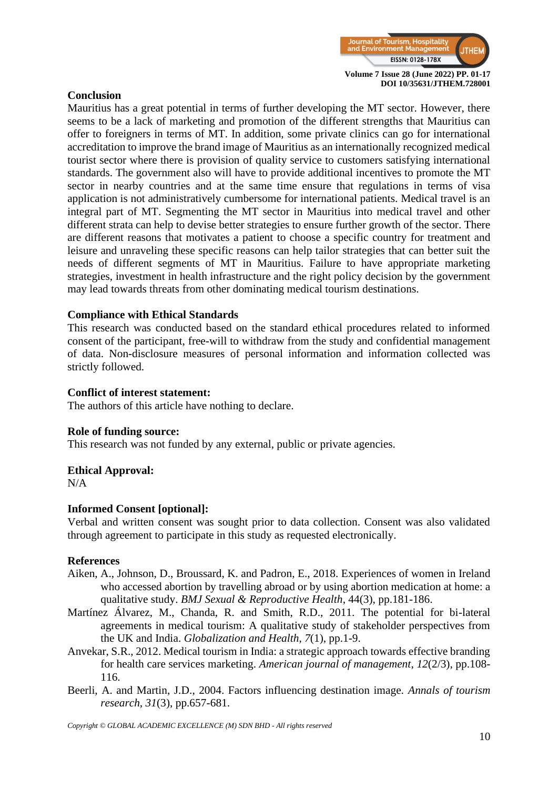

# **Conclusion**

Mauritius has a great potential in terms of further developing the MT sector. However, there seems to be a lack of marketing and promotion of the different strengths that Mauritius can offer to foreigners in terms of MT. In addition, some private clinics can go for international accreditation to improve the brand image of Mauritius as an internationally recognized medical tourist sector where there is provision of quality service to customers satisfying international standards. The government also will have to provide additional incentives to promote the MT sector in nearby countries and at the same time ensure that regulations in terms of visa application is not administratively cumbersome for international patients. Medical travel is an integral part of MT. Segmenting the MT sector in Mauritius into medical travel and other different strata can help to devise better strategies to ensure further growth of the sector. There are different reasons that motivates a patient to choose a specific country for treatment and leisure and unraveling these specific reasons can help tailor strategies that can better suit the needs of different segments of MT in Mauritius. Failure to have appropriate marketing strategies, investment in health infrastructure and the right policy decision by the government may lead towards threats from other dominating medical tourism destinations.

#### **Compliance with Ethical Standards**

This research was conducted based on the standard ethical procedures related to informed consent of the participant, free-will to withdraw from the study and confidential management of data. Non-disclosure measures of personal information and information collected was strictly followed.

#### **Conflict of interest statement:**

The authors of this article have nothing to declare.

#### **Role of funding source:**

This research was not funded by any external, public or private agencies.

#### **Ethical Approval:**

N/A

#### **Informed Consent [optional]:**

Verbal and written consent was sought prior to data collection. Consent was also validated through agreement to participate in this study as requested electronically.

#### **References**

- Aiken, A., Johnson, D., Broussard, K. and Padron, E., 2018. Experiences of women in Ireland who accessed abortion by travelling abroad or by using abortion medication at home: a qualitative study. *BMJ Sexual & Reproductive Health*, 44(3), pp.181-186.
- Martínez Álvarez, M., Chanda, R. and Smith, R.D., 2011. The potential for bi-lateral agreements in medical tourism: A qualitative study of stakeholder perspectives from the UK and India. *Globalization and Health*, *7*(1), pp.1-9.
- Anvekar, S.R., 2012. Medical tourism in India: a strategic approach towards effective branding for health care services marketing. *American journal of management*, *12*(2/3), pp.108- 116.
- Beerli, A. and Martin, J.D., 2004. Factors influencing destination image. *Annals of tourism research*, *31*(3), pp.657-681.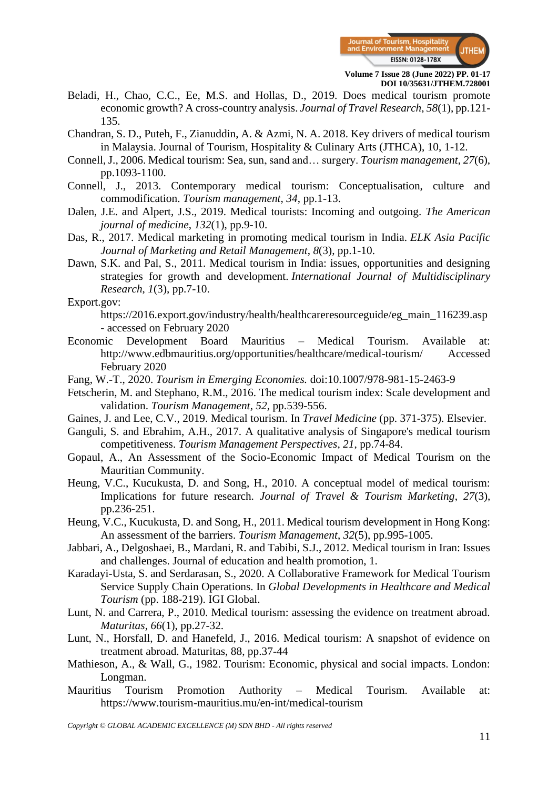

- Beladi, H., Chao, C.C., Ee, M.S. and Hollas, D., 2019. Does medical tourism promote economic growth? A cross-country analysis. *Journal of Travel Research*, *58*(1), pp.121- 135.
- Chandran, S. D., Puteh, F., Zianuddin, A. & Azmi, N. A. 2018. Key drivers of medical tourism in Malaysia. Journal of Tourism, Hospitality & Culinary Arts (JTHCA), 10, 1-12.
- Connell, J., 2006. Medical tourism: Sea, sun, sand and… surgery. *Tourism management*, *27*(6), pp.1093-1100.
- Connell, J., 2013. Contemporary medical tourism: Conceptualisation, culture and commodification. *Tourism management*, *34*, pp.1-13.
- Dalen, J.E. and Alpert, J.S., 2019. Medical tourists: Incoming and outgoing. *The American journal of medicine*, *132*(1), pp.9-10.
- Das, R., 2017. Medical marketing in promoting medical tourism in India. *ELK Asia Pacific Journal of Marketing and Retail Management*, *8*(3), pp.1-10.
- Dawn, S.K. and Pal, S., 2011. Medical tourism in India: issues, opportunities and designing strategies for growth and development. *International Journal of Multidisciplinary Research*, *1*(3), pp.7-10.

Export.gov:

https://2016.export.gov/industry/health/healthcareresourceguide/eg\_main\_116239.asp - accessed on February 2020

- Economic Development Board Mauritius Medical Tourism. Available at: http://www.edbmauritius.org/opportunities/healthcare/medical-tourism/ Accessed February 2020
- Fang, W.-T., 2020. *Tourism in Emerging Economies.* doi:10.1007/978-981-15-2463-9
- Fetscherin, M. and Stephano, R.M., 2016. The medical tourism index: Scale development and validation. *Tourism Management*, *52*, pp.539-556.
- Gaines, J. and Lee, C.V., 2019. Medical tourism. In *Travel Medicine* (pp. 371-375). Elsevier.
- Ganguli, S. and Ebrahim, A.H., 2017. A qualitative analysis of Singapore's medical tourism competitiveness. *Tourism Management Perspectives*, *21*, pp.74-84.
- Gopaul, A., An Assessment of the Socio-Economic Impact of Medical Tourism on the Mauritian Community.
- Heung, V.C., Kucukusta, D. and Song, H., 2010. A conceptual model of medical tourism: Implications for future research. *Journal of Travel & Tourism Marketing*, *27*(3), pp.236-251.
- Heung, V.C., Kucukusta, D. and Song, H., 2011. Medical tourism development in Hong Kong: An assessment of the barriers. *Tourism Management*, *32*(5), pp.995-1005.
- Jabbari, A., Delgoshaei, B., Mardani, R. and Tabibi, S.J., 2012. Medical tourism in Iran: Issues and challenges. Journal of education and health promotion, 1.
- Karadayi-Usta, S. and Serdarasan, S., 2020. A Collaborative Framework for Medical Tourism Service Supply Chain Operations. In *Global Developments in Healthcare and Medical Tourism* (pp. 188-219). IGI Global.
- Lunt, N. and Carrera, P., 2010. Medical tourism: assessing the evidence on treatment abroad. *Maturitas*, *66*(1), pp.27-32.
- Lunt, N., Horsfall, D. and Hanefeld, J., 2016. Medical tourism: A snapshot of evidence on treatment abroad. Maturitas, 88, pp.37-44
- Mathieson, A., & Wall, G., 1982. Tourism: Economic, physical and social impacts. London: Longman.
- Mauritius Tourism Promotion Authority Medical Tourism. Available at: https://www.tourism-mauritius.mu/en-int/medical-tourism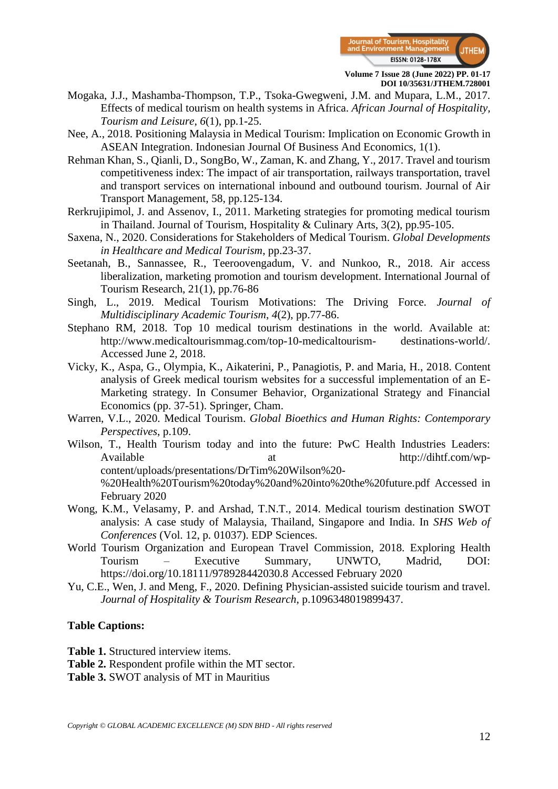

- Mogaka, J.J., Mashamba-Thompson, T.P., Tsoka-Gwegweni, J.M. and Mupara, L.M., 2017. Effects of medical tourism on health systems in Africa. *African Journal of Hospitality, Tourism and Leisure*, *6*(1), pp.1-25.
- Nee, A., 2018. Positioning Malaysia in Medical Tourism: Implication on Economic Growth in ASEAN Integration. Indonesian Journal Of Business And Economics, 1(1).
- Rehman Khan, S., Qianli, D., SongBo, W., Zaman, K. and Zhang, Y., 2017. Travel and tourism competitiveness index: The impact of air transportation, railways transportation, travel and transport services on international inbound and outbound tourism. Journal of Air Transport Management, 58, pp.125-134.
- Rerkrujipimol, J. and Assenov, I., 2011. Marketing strategies for promoting medical tourism in Thailand. Journal of Tourism, Hospitality & Culinary Arts, 3(2), pp.95-105.
- Saxena, N., 2020. Considerations for Stakeholders of Medical Tourism. *Global Developments in Healthcare and Medical Tourism*, pp.23-37.
- Seetanah, B., Sannassee, R., Teeroovengadum, V. and Nunkoo, R., 2018. Air access liberalization, marketing promotion and tourism development. International Journal of Tourism Research, 21(1), pp.76-86
- Singh, L., 2019. Medical Tourism Motivations: The Driving Force. *Journal of Multidisciplinary Academic Tourism*, *4*(2), pp.77-86.
- Stephano RM, 2018. Top 10 medical tourism destinations in the world. Available at: http://www.medicaltourismmag.com/top-10-medicaltourism- destinations-world/. Accessed June 2, 2018.
- Vicky, K., Aspa, G., Olympia, K., Aikaterini, P., Panagiotis, P. and Maria, H., 2018. Content analysis of Greek medical tourism websites for a successful implementation of an E-Marketing strategy. In Consumer Behavior, Organizational Strategy and Financial Economics (pp. 37-51). Springer, Cham.
- Warren, V.L., 2020. Medical Tourism. *Global Bioethics and Human Rights: Contemporary Perspectives*, p.109.
- Wilson, T., Health Tourism today and into the future: PwC Health Industries Leaders: Available at at http://dihtf.com/wpcontent/uploads/presentations/DrTim%20Wilson%20- %20Health%20Tourism%20today%20and%20into%20the%20future.pdf Accessed in February 2020
- Wong, K.M., Velasamy, P. and Arshad, T.N.T., 2014. Medical tourism destination SWOT analysis: A case study of Malaysia, Thailand, Singapore and India. In *SHS Web of Conferences* (Vol. 12, p. 01037). EDP Sciences.
- World Tourism Organization and European Travel Commission, 2018. Exploring Health Tourism – Executive Summary, UNWTO, Madrid, DOI: https://doi.org/10.18111/978928442030.8 Accessed February 2020
- Yu, C.E., Wen, J. and Meng, F., 2020. Defining Physician-assisted suicide tourism and travel. *Journal of Hospitality & Tourism Research*, p.1096348019899437.

#### **Table Captions:**

**Table 1.** Structured interview items.

- **Table 2.** Respondent profile within the MT sector.
- **Table 3.** SWOT analysis of MT in Mauritius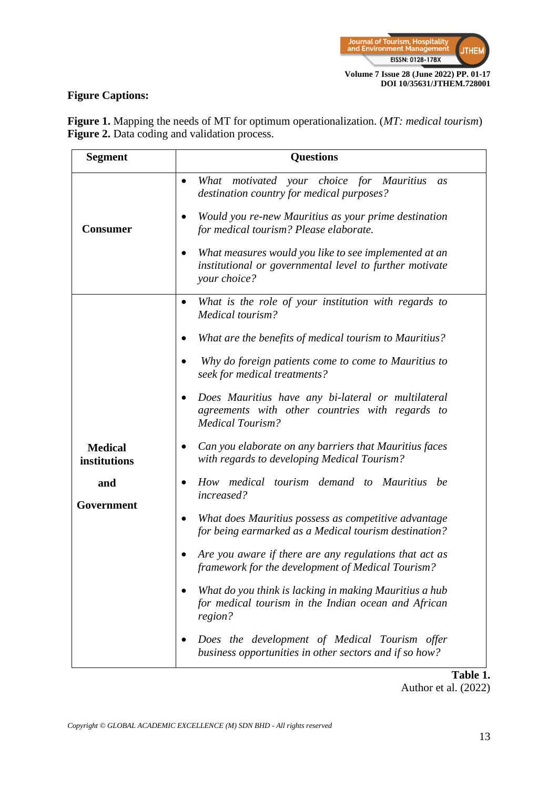

# **Figure Captions:**

**Segment Questions Consumer** • *What motivated your choice for Mauritius as destination country for medical purposes?* • *Would you re-new Mauritius as your prime destination for medical tourism? Please elaborate.*  • *What measures would you like to see implemented at an institutional or governmental level to further motivate your choice?* **Medical institutions and Government** • *What is the role of your institution with regards to Medical tourism?* • *What are the benefits of medical tourism to Mauritius?* • *Why do foreign patients come to come to Mauritius to seek for medical treatments?* • *Does Mauritius have any bi-lateral or multilateral agreements with other countries with regards to Medical Tourism?* • *Can you elaborate on any barriers that Mauritius faces with regards to developing Medical Tourism?* • *How medical tourism demand to Mauritius be increased?* • *What does Mauritius possess as competitive advantage for being earmarked as a Medical tourism destination?* • *Are you aware if there are any regulations that act as framework for the development of Medical Tourism?* • *What do you think is lacking in making Mauritius a hub for medical tourism in the Indian ocean and African region?* • *Does the development of Medical Tourism offer business opportunities in other sectors and if so how?*

**Figure 1.** Mapping the needs of MT for optimum operationalization. (*MT: medical tourism*) **Figure 2.** Data coding and validation process.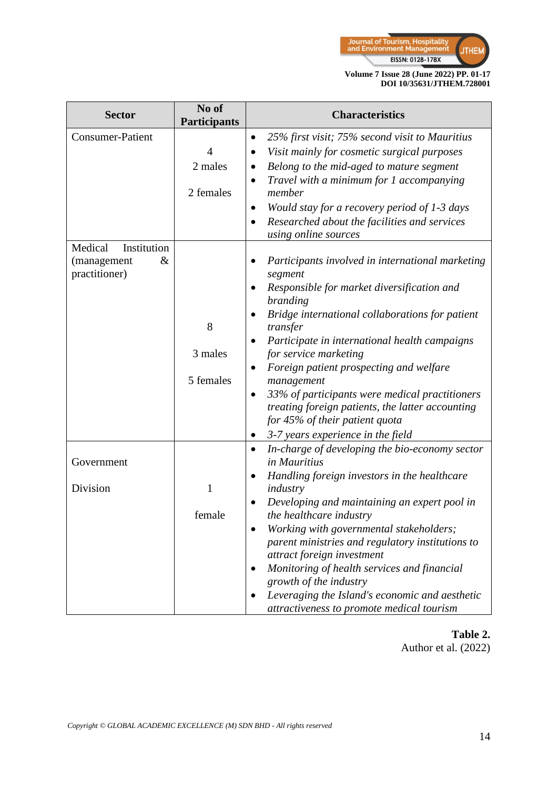

| <b>Sector</b>           | No of<br><b>Participants</b> | <b>Characteristics</b>                                                                      |
|-------------------------|------------------------------|---------------------------------------------------------------------------------------------|
| <b>Consumer-Patient</b> |                              | 25% first visit; 75% second visit to Mauritius<br>$\bullet$                                 |
|                         | $\overline{4}$               | Visit mainly for cosmetic surgical purposes                                                 |
|                         | 2 males                      | Belong to the mid-aged to mature segment                                                    |
|                         |                              | Travel with a minimum for 1 accompanying                                                    |
|                         | 2 females                    | member                                                                                      |
|                         |                              | Would stay for a recovery period of 1-3 days                                                |
|                         |                              | Researched about the facilities and services<br>using online sources                        |
| Medical<br>Institution  |                              |                                                                                             |
| (management<br>&        |                              | Participants involved in international marketing                                            |
| practitioner)           |                              | segment                                                                                     |
|                         |                              | Responsible for market diversification and                                                  |
|                         |                              | branding                                                                                    |
|                         | 8                            | Bridge international collaborations for patient<br>transfer                                 |
|                         |                              | Participate in international health campaigns                                               |
|                         | 3 males                      | for service marketing                                                                       |
|                         |                              | Foreign patient prospecting and welfare                                                     |
|                         | 5 females                    | management                                                                                  |
|                         |                              | 33% of participants were medical practitioners<br>٠                                         |
|                         |                              | treating foreign patients, the latter accounting                                            |
|                         |                              | for 45% of their patient quota                                                              |
|                         |                              | 3-7 years experience in the field                                                           |
| Government              |                              | In-charge of developing the bio-economy sector<br>$\bullet$<br>in Mauritius                 |
|                         |                              | Handling foreign investors in the healthcare                                                |
| Division                | $\mathbf{1}$                 | industry                                                                                    |
|                         |                              | Developing and maintaining an expert pool in                                                |
|                         | female                       | the healthcare industry                                                                     |
|                         |                              | Working with governmental stakeholders;<br>parent ministries and regulatory institutions to |
|                         |                              | attract foreign investment                                                                  |
|                         |                              | Monitoring of health services and financial                                                 |
|                         |                              | growth of the industry                                                                      |
|                         |                              | Leveraging the Island's economic and aesthetic                                              |
|                         |                              | attractiveness to promote medical tourism                                                   |

# **Table 2.** Author et al. (2022)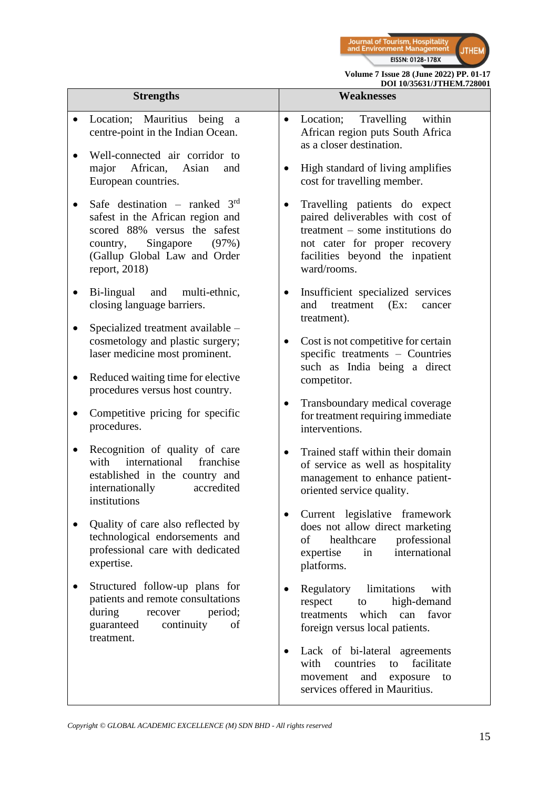

| <b>Strengths</b>                                                                                                                                                                          | DOI 10/35631/JTHEM.728001<br><b>Weaknesses</b>                                                                                                                                           |
|-------------------------------------------------------------------------------------------------------------------------------------------------------------------------------------------|------------------------------------------------------------------------------------------------------------------------------------------------------------------------------------------|
|                                                                                                                                                                                           |                                                                                                                                                                                          |
| Location; Mauritius being<br><sub>a</sub><br>centre-point in the Indian Ocean.<br>Well-connected air corridor to                                                                          | Location;<br>Travelling<br>within<br>$\bullet$<br>African region puts South Africa<br>as a closer destination.                                                                           |
| African,<br>major<br>Asian<br>and<br>European countries.                                                                                                                                  | High standard of living amplifies<br>cost for travelling member.                                                                                                                         |
| Safe destination – ranked $3rd$<br>safest in the African region and<br>scored 88% versus the safest<br>Singapore<br>country,<br>(97%)<br>(Gallup Global Law and Order<br>report, $2018$ ) | Travelling patients do expect<br>paired deliverables with cost of<br>treatment – some institutions do<br>not cater for proper recovery<br>facilities beyond the inpatient<br>ward/rooms. |
| Bi-lingual<br>and multi-ethnic,<br>closing language barriers.                                                                                                                             | Insufficient specialized services<br>and<br>treatment<br>(EX:<br>cancer<br>treatment).                                                                                                   |
| Specialized treatment available -<br>$\bullet$<br>cosmetology and plastic surgery;<br>laser medicine most prominent.                                                                      | Cost is not competitive for certain<br>$\bullet$<br>specific treatments - Countries<br>such as India being a direct                                                                      |
| Reduced waiting time for elective<br>procedures versus host country.                                                                                                                      | competitor.                                                                                                                                                                              |
| Competitive pricing for specific<br>$\bullet$<br>procedures.                                                                                                                              | Transboundary medical coverage<br>٠<br>for treatment requiring immediate<br>interventions.                                                                                               |
| Recognition of quality of care<br>٠<br>international<br>franchise<br>with<br>established in the country and<br>internationally<br>accredited<br>institutions                              | Trained staff within their domain<br>$\bullet$<br>of service as well as hospitality<br>management to enhance patient-<br>oriented service quality.                                       |
| Quality of care also reflected by<br>technological endorsements and<br>professional care with dedicated<br>expertise.                                                                     | Current legislative framework<br>does not allow direct marketing<br>healthcare<br>professional<br>of<br>international<br>expertise<br>in<br>platforms.                                   |
| Structured follow-up plans for<br>patients and remote consultations<br>during<br>recover<br>period;<br>guaranteed<br>continuity<br>of<br>treatment.                                       | Regulatory<br>limitations<br>with<br>high-demand<br>respect<br>to<br>which<br>can<br>favor<br>treatments<br>foreign versus local patients.                                               |
|                                                                                                                                                                                           | Lack of bi-lateral agreements<br>facilitate<br>with<br>countries<br>to<br>and<br>exposure<br>movement<br>to<br>services offered in Mauritius.                                            |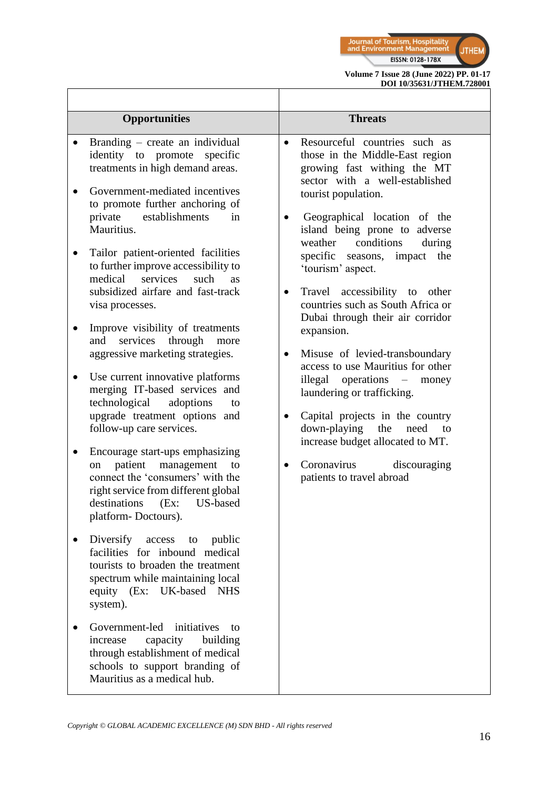

| <b>Opportunities</b>                                                                                                                                                                                                                                                                                                                                                                                                                                                                                                                                                                                                                                                                                                                                                                                                                                                                                                                                                                                                                                                                                                                                                                                                                                                                                             | <b>Threats</b>                                                                                                                                                                                                                                                                                                                                                                                                                                                                                                                                                                                                                                                                                                                                                                                                           |
|------------------------------------------------------------------------------------------------------------------------------------------------------------------------------------------------------------------------------------------------------------------------------------------------------------------------------------------------------------------------------------------------------------------------------------------------------------------------------------------------------------------------------------------------------------------------------------------------------------------------------------------------------------------------------------------------------------------------------------------------------------------------------------------------------------------------------------------------------------------------------------------------------------------------------------------------------------------------------------------------------------------------------------------------------------------------------------------------------------------------------------------------------------------------------------------------------------------------------------------------------------------------------------------------------------------|--------------------------------------------------------------------------------------------------------------------------------------------------------------------------------------------------------------------------------------------------------------------------------------------------------------------------------------------------------------------------------------------------------------------------------------------------------------------------------------------------------------------------------------------------------------------------------------------------------------------------------------------------------------------------------------------------------------------------------------------------------------------------------------------------------------------------|
| Branding – create an individual<br>$\bullet$<br>identity to promote<br>specific<br>treatments in high demand areas.<br>Government-mediated incentives<br>to promote further anchoring of<br>establishments<br>private<br>in<br>Mauritius.<br>Tailor patient-oriented facilities<br>to further improve accessibility to<br>services<br>medical<br>such<br><b>as</b><br>subsidized airfare and fast-track<br>visa processes.<br>Improve visibility of treatments<br>services<br>through<br>and<br>more<br>aggressive marketing strategies.<br>Use current innovative platforms<br>$\bullet$<br>merging IT-based services and<br>technological<br>adoptions<br>to<br>upgrade treatment options and<br>follow-up care services.<br>Encourage start-ups emphasizing<br>patient<br>management<br>to<br>on<br>connect the 'consumers' with the<br>right service from different global<br>destinations<br>(EX:<br>US-based<br>platform-Doctours).<br>Diversify access<br>public<br>to<br>facilities for inbound medical<br>tourists to broaden the treatment<br>spectrum while maintaining local<br>equity (Ex: UK-based NHS<br>system).<br>Government-led<br>initiatives<br>to<br>capacity<br>building<br>increase<br>through establishment of medical<br>schools to support branding of<br>Mauritius as a medical hub. | Resourceful countries such as<br>$\bullet$<br>those in the Middle-East region<br>growing fast withing the MT<br>sector with a well-established<br>tourist population.<br>Geographical location of the<br>island being prone to adverse<br>conditions<br>weather<br>during<br>specific seasons,<br>the<br>impact<br>'tourism' aspect.<br>Travel accessibility to other<br>$\bullet$<br>countries such as South Africa or<br>Dubai through their air corridor<br>expansion.<br>Misuse of levied-transboundary<br>$\bullet$<br>access to use Mauritius for other<br>illegal operations $-$<br>money<br>laundering or trafficking.<br>Capital projects in the country<br>٠<br>down-playing<br>the<br>need<br>to<br>increase budget allocated to MT.<br>Coronavirus<br>discouraging<br>$\bullet$<br>patients to travel abroad |